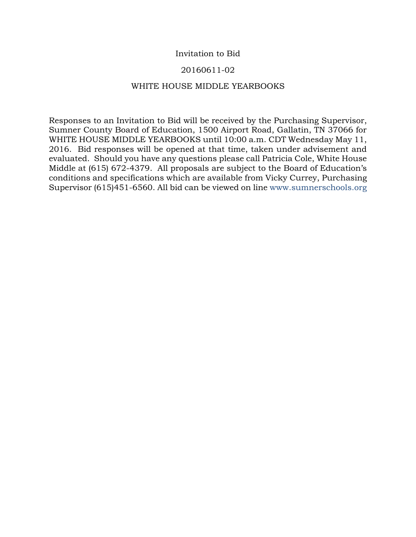## Invitation to Bid

## 20160611-02

### WHITE HOUSE MIDDLE YEARBOOKS

Responses to an Invitation to Bid will be received by the Purchasing Supervisor, Sumner County Board of Education, 1500 Airport Road, Gallatin, TN 37066 for WHITE HOUSE MIDDLE YEARBOOKS until 10:00 a.m. CDT Wednesday May 11, 2016. Bid responses will be opened at that time, taken under advisement and evaluated. Should you have any questions please call Patricia Cole, White House Middle at (615) 672-4379. All proposals are subject to the Board of Education's conditions and specifications which are available from Vicky Currey, Purchasing Supervisor (615)451-6560. All bid can be viewed on line www.sumnerschools.org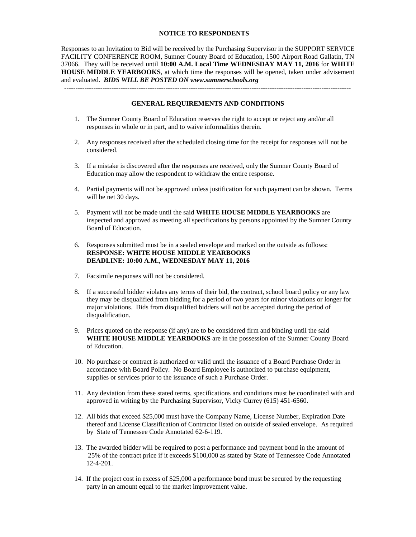#### **NOTICE TO RESPONDENTS**

Responses to an Invitation to Bid will be received by the Purchasing Supervisor in the SUPPORT SERVICE FACILITY CONFERENCE ROOM, Sumner County Board of Education, 1500 Airport Road Gallatin, TN 37066. They will be received until **10:00 A.M. Local Time WEDNESDAY MAY 11, 2016** for **WHITE HOUSE MIDDLE YEARBOOKS**, at which time the responses will be opened, taken under advisement and evaluated. *BIDS WILL BE POSTED ON www.sumnerschools.org*

#### **GENERAL REQUIREMENTS AND CONDITIONS**

-------------------------------------------------------------------------------------------------------------------------------

- 1. The Sumner County Board of Education reserves the right to accept or reject any and/or all responses in whole or in part, and to waive informalities therein.
- 2. Any responses received after the scheduled closing time for the receipt for responses will not be considered.
- 3. If a mistake is discovered after the responses are received, only the Sumner County Board of Education may allow the respondent to withdraw the entire response.
- 4. Partial payments will not be approved unless justification for such payment can be shown. Terms will be net 30 days.
- 5. Payment will not be made until the said **WHITE HOUSE MIDDLE YEARBOOKS** are inspected and approved as meeting all specifications by persons appointed by the Sumner County Board of Education.
- 6. Responses submitted must be in a sealed envelope and marked on the outside as follows: **RESPONSE: WHITE HOUSE MIDDLE YEARBOOKS DEADLINE: 10:00 A.M., WEDNESDAY MAY 11, 2016**
- 7. Facsimile responses will not be considered.
- 8. If a successful bidder violates any terms of their bid, the contract, school board policy or any law they may be disqualified from bidding for a period of two years for minor violations or longer for major violations. Bids from disqualified bidders will not be accepted during the period of disqualification.
- 9. Prices quoted on the response (if any) are to be considered firm and binding until the said **WHITE HOUSE MIDDLE YEARBOOKS** are in the possession of the Sumner County Board of Education.
- 10. No purchase or contract is authorized or valid until the issuance of a Board Purchase Order in accordance with Board Policy. No Board Employee is authorized to purchase equipment, supplies or services prior to the issuance of such a Purchase Order.
- 11. Any deviation from these stated terms, specifications and conditions must be coordinated with and approved in writing by the Purchasing Supervisor, Vicky Currey (615) 451-6560.
- 12. All bids that exceed \$25,000 must have the Company Name, License Number, Expiration Date thereof and License Classification of Contractor listed on outside of sealed envelope. As required by State of Tennessee Code Annotated 62-6-119.
- 13. The awarded bidder will be required to post a performance and payment bond in the amount of 25% of the contract price if it exceeds \$100,000 as stated by State of Tennessee Code Annotated 12-4-201.
- 14. If the project cost in excess of \$25,000 a performance bond must be secured by the requesting party in an amount equal to the market improvement value.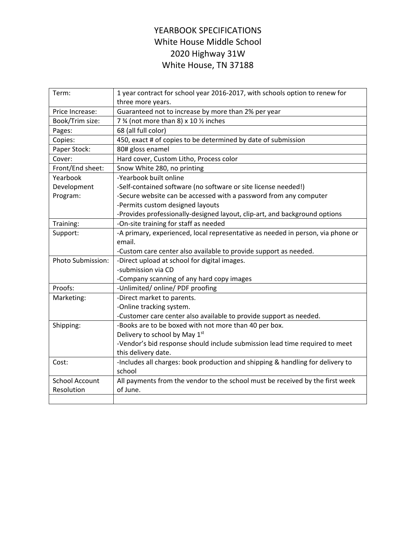# YEARBOOK SPECIFICATIONS White House Middle School 2020 Highway 31W White House, TN 37188

| Term:                 | 1 year contract for school year 2016-2017, with schools option to renew for                        |  |  |
|-----------------------|----------------------------------------------------------------------------------------------------|--|--|
|                       | three more years.                                                                                  |  |  |
| Price Increase:       | Guaranteed not to increase by more than 2% per year                                                |  |  |
| Book/Trim size:       | 7 % (not more than 8) x 10 % inches                                                                |  |  |
| Pages:                | 68 (all full color)                                                                                |  |  |
| Copies:               | 450, exact # of copies to be determined by date of submission                                      |  |  |
| Paper Stock:          | 80# gloss enamel                                                                                   |  |  |
| Cover:                | Hard cover, Custom Litho, Process color                                                            |  |  |
| Front/End sheet:      | Snow White 280, no printing                                                                        |  |  |
| Yearbook              | -Yearbook built online                                                                             |  |  |
| Development           | -Self-contained software (no software or site license needed!)                                     |  |  |
| Program:              | -Secure website can be accessed with a password from any computer                                  |  |  |
|                       | -Permits custom designed layouts                                                                   |  |  |
|                       | -Provides professionally-designed layout, clip-art, and background options                         |  |  |
| Training:             | -On-site training for staff as needed                                                              |  |  |
| Support:              | -A primary, experienced, local representative as needed in person, via phone or                    |  |  |
|                       | email.                                                                                             |  |  |
|                       | -Custom care center also available to provide support as needed.                                   |  |  |
| Photo Submission:     | -Direct upload at school for digital images.                                                       |  |  |
|                       | -submission via CD                                                                                 |  |  |
|                       |                                                                                                    |  |  |
|                       | -Company scanning of any hard copy images                                                          |  |  |
| Proofs:               | -Unlimited/ online/ PDF proofing                                                                   |  |  |
| Marketing:            | -Direct market to parents.                                                                         |  |  |
|                       | -Online tracking system.                                                                           |  |  |
|                       | -Customer care center also available to provide support as needed.                                 |  |  |
| Shipping:             | -Books are to be boxed with not more than 40 per box.                                              |  |  |
|                       | Delivery to school by May 1st                                                                      |  |  |
|                       |                                                                                                    |  |  |
|                       | -Vendor's bid response should include submission lead time required to meet<br>this delivery date. |  |  |
| Cost:                 | -Includes all charges: book production and shipping & handling for delivery to                     |  |  |
|                       | school                                                                                             |  |  |
| <b>School Account</b> | All payments from the vendor to the school must be received by the first week                      |  |  |
| Resolution            | of June.                                                                                           |  |  |